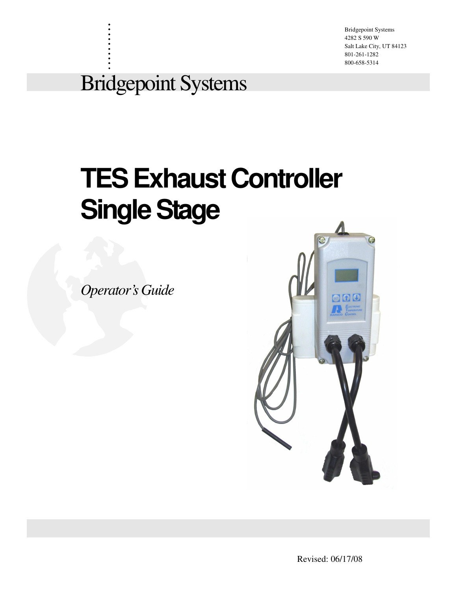Bridgepoint Systems 4282 S 590 W Salt Lake City, UT 84123 801-261-1282 800-658-5314

## Bridgepoint Systems

. . . . . . . . . .

## **TES Exhaust Controller Single Stage**

*Operator's Guide*



Revised: 06/17/08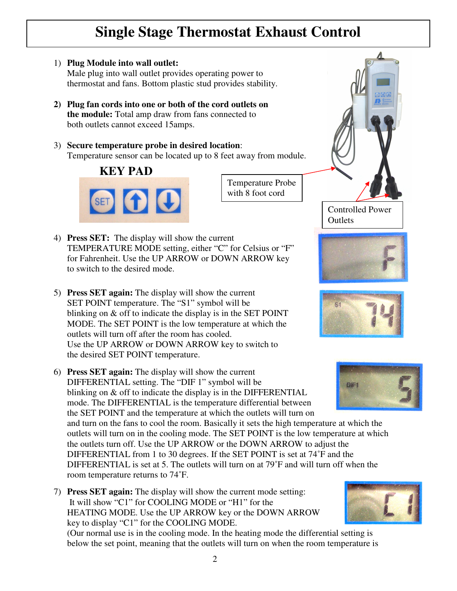## **Single Stage Thermostat Exhaust Control**

- 1) **Plug Module into wall outlet:** Male plug into wall outlet provides operating power to thermostat and fans. Bottom plastic stud provides stability.
- **2) Plug fan cords into one or both of the cord outlets on the module:** Total amp draw from fans connected to both outlets cannot exceed 15amps.
- 3) **Secure temperature probe in desired location**: Temperature sensor can be located up to 8 feet away from module.



Temperature Probe with 8 foot cord

- 4) **Press SET:** The display will show the current TEMPERATURE MODE setting, either "C" for Celsius or "F" for Fahrenheit. Use the UP ARROW or DOWN ARROW key to switch to the desired mode.
- 5) **Press SET again:** The display will show the current SET POINT temperature. The "S1" symbol will be blinking on & off to indicate the display is in the SET POINT MODE. The SET POINT is the low temperature at which the outlets will turn off after the room has cooled. Use the UP ARROW or DOWN ARROW key to switch to the desired SET POINT temperature.
- 6) **Press SET again:** The display will show the current DIFFERENTIAL setting. The "DIF 1" symbol will be blinking on & off to indicate the display is in the DIFFERENTIAL mode. The DIFFERENTIAL is the temperature differential between the SET POINT and the temperature at which the outlets will turn on

and turn on the fans to cool the room. Basically it sets the high temperature at which the outlets will turn on in the cooling mode. The SET POINT is the low temperature at which the outlets turn off. Use the UP ARROW or the DOWN ARROW to adjust the DIFFERENTIAL from 1 to 30 degrees. If the SET POINT is set at 74˚F and the DIFFERENTIAL is set at 5. The outlets will turn on at 79˚F and will turn off when the room temperature returns to 74˚F.

7) **Press SET again:** The display will show the current mode setting: It will show "C1" for COOLING MODE or "H1" for the HEATING MODE. Use the UP ARROW key or the DOWN ARROW key to display "C1" for the COOLING MODE.

(Our normal use is in the cooling mode. In the heating mode the differential setting is below the set point, meaning that the outlets will turn on when the room temperature is









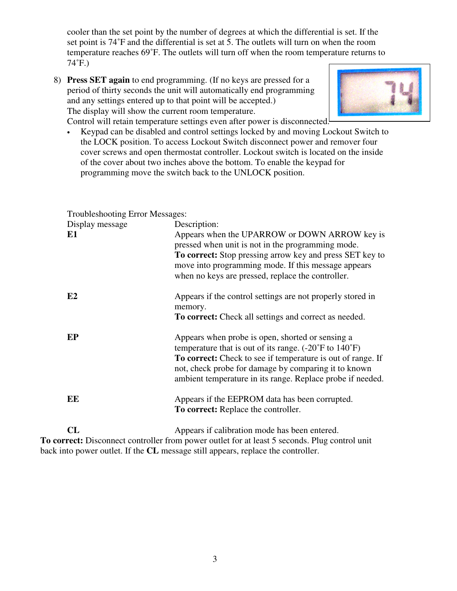cooler than the set point by the number of degrees at which the differential is set. If the set point is 74˚F and the differential is set at 5. The outlets will turn on when the room temperature reaches 69˚F. The outlets will turn off when the room temperature returns to 74˚F.)

8) **Press SET again** to end programming. (If no keys are pressed for a period of thirty seconds the unit will automatically end programming and any settings entered up to that point will be accepted.) The display will show the current room temperature.



Control will retain temperature settings even after power is disconnected.

• Keypad can be disabled and control settings locked by and moving Lockout Switch to the LOCK position. To access Lockout Switch disconnect power and remover four cover screws and open thermostat controller. Lockout switch is located on the inside of the cover about two inches above the bottom. To enable the keypad for programming move the switch back to the UNLOCK position.

Troubleshooting Error Messages:

| Display message<br>E1 | Description:<br>Appears when the UPARROW or DOWN ARROW key is<br>pressed when unit is not in the programming mode.<br>To correct: Stop pressing arrow key and press SET key to<br>move into programming mode. If this message appears<br>when no keys are pressed, replace the controller.                          |
|-----------------------|---------------------------------------------------------------------------------------------------------------------------------------------------------------------------------------------------------------------------------------------------------------------------------------------------------------------|
| E2                    | Appears if the control settings are not properly stored in<br>memory.<br><b>To correct:</b> Check all settings and correct as needed.                                                                                                                                                                               |
| EP                    | Appears when probe is open, shorted or sensing a<br>temperature that is out of its range. $(-20^{\circ}$ F to $140^{\circ}$ F)<br>To correct: Check to see if temperature is out of range. If<br>not, check probe for damage by comparing it to known<br>ambient temperature in its range. Replace probe if needed. |
| EE                    | Appears if the EEPROM data has been corrupted.<br><b>To correct:</b> Replace the controller.                                                                                                                                                                                                                        |
| CL                    | Appears if calibration mode has been entered.                                                                                                                                                                                                                                                                       |

**To correct:** Disconnect controller from power outlet for at least 5 seconds. Plug control unit back into power outlet. If the **CL** message still appears, replace the controller.